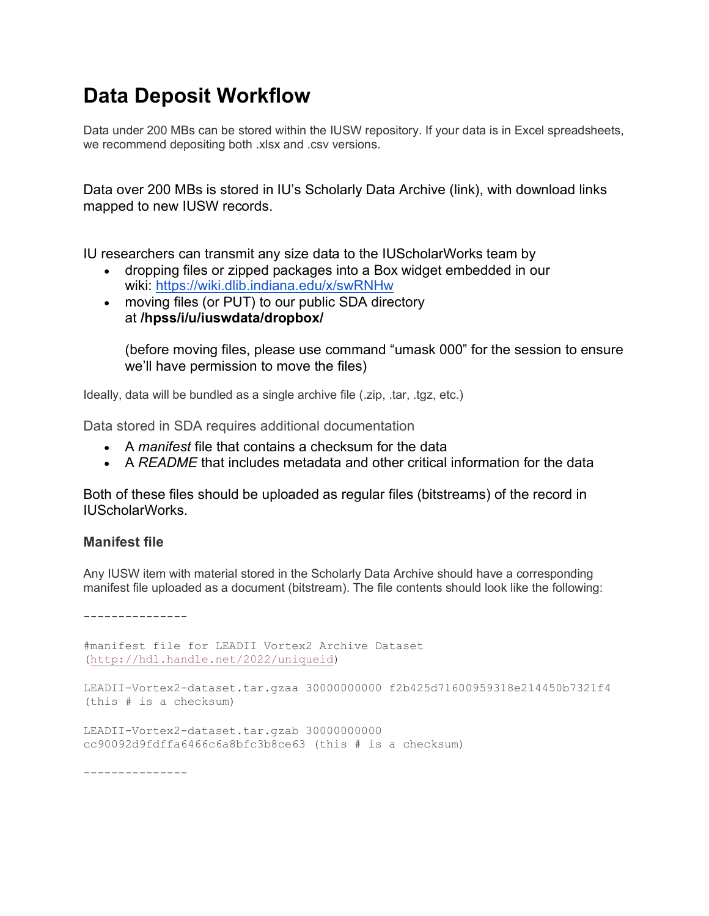# **Data Deposit Workflow**

Data under 200 MBs can be stored within the IUSW repository. If your data is in Excel spreadsheets, we recommend depositing both .xlsx and .csv versions.

Data over 200 MBs is stored in IU's Scholarly Data Archive (link), with download links mapped to new IUSW records.

IU researchers can transmit any size data to the IUScholarWorks team by

- dropping files or zipped packages into a Box widget embedded in our wiki: https://wiki.dlib.indiana.edu/x/swRNHw
- moving files (or PUT) to our public SDA directory at **/hpss/i/u/iuswdata/dropbox/**

(before moving files, please use command "umask 000" for the session to ensure we'll have permission to move the files)

Ideally, data will be bundled as a single archive file (.zip, .tar, .tgz, etc.)

Data stored in SDA requires additional documentation

- A *manifest* file that contains a checksum for the data
- A *README* that includes metadata and other critical information for the data

Both of these files should be uploaded as regular files (bitstreams) of the record in IUScholarWorks.

## **Manifest file**

Any IUSW item with material stored in the Scholarly Data Archive should have a corresponding manifest file uploaded as a document (bitstream). The file contents should look like the following:

---------------

#manifest file for LEADII Vortex2 Archive Dataset (http://hdl.handle.net/2022/uniqueid)

```
LEADII-Vortex2-dataset.tar.gzaa 30000000000 f2b425d71600959318e214450b7321f4 
(this # is a checksum)
```
LEADII-Vortex2-dataset.tar.gzab 30000000000 cc90092d9fdffa6466c6a8bfc3b8ce63 (this # is a checksum)

---------------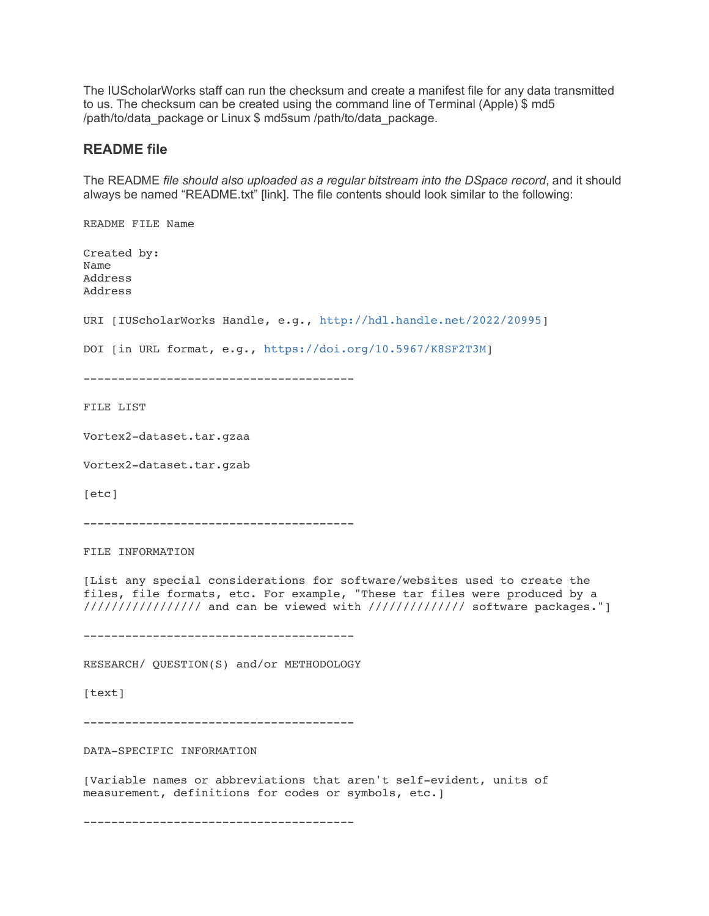The IUScholarWorks staff can run the checksum and create a manifest file for any data transmitted to us. The checksum can be created using the command line of Terminal (Apple) \$ md5 /path/to/data\_package or Linux \$ md5sum /path/to/data\_package.

## **README file**

The README *file should also uploaded as a regular bitstream into the DSpace record*, and it should always be named "README.txt" [link]. The file contents should look similar to the following:

README FILE Name Created by: Name Address Address URI [IUScholarWorks Handle, e.g., http://hdl.handle.net/2022/20995] DOI [in URL format, e.g., https://doi.org/10.5967/K8SF2T3M] --------------------------------------- FILE LIST Vortex2-dataset.tar.gzaa Vortex2-dataset.tar.gzab [etc] --------------------------------------- FILE INFORMATION [List any special considerations for software/websites used to create the files, file formats, etc. For example, "These tar files were produced by a ////////////////// and can be viewed with ////////////// software packages."] --------------------------------------- RESEARCH/ QUESTION(S) and/or METHODOLOGY [text] --------------------------------------- DATA-SPECIFIC INFORMATION [Variable names or abbreviations that aren't self-evident, units of measurement, definitions for codes or symbols, etc.]

---------------------------------------